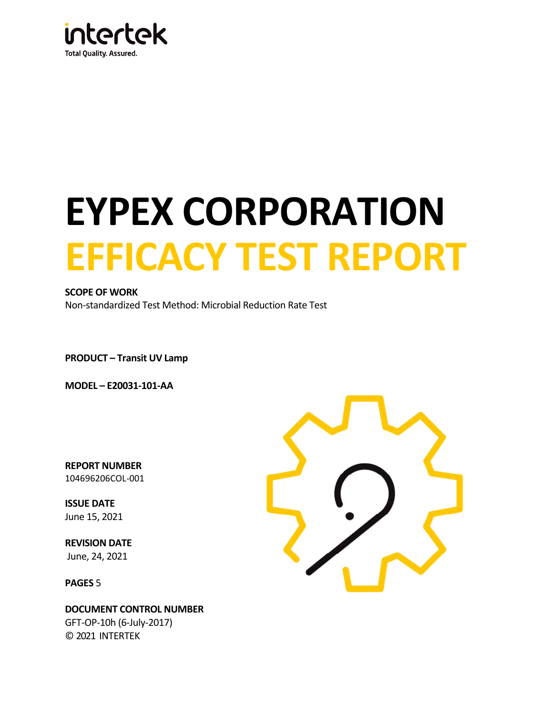

# **EYPEX CORPORATION EFFICACY TEST REPORT**

#### **SCOPE OF WORK**

Non-standardized Test Method: Microbial Reduction Rate Test

**PRODUCT – Transit UV Lamp**

**MODEL – E20031-101-AA**

**REPORT NUMBER** 104696206COL-001

**ISSUE DATE**  June 15, 2021

**REVISION DATE**  June, 24, 2021

**PAGES** 5

**DOCUMENT CONTROL NUMBER** GFT-OP-10h (6-July-2017) © 2021 INTERTEK

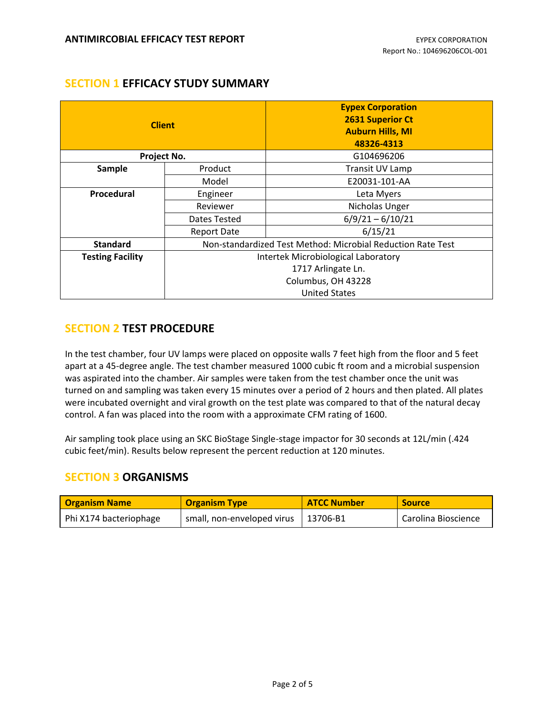## **SECTION 1 EFFICACY STUDY SUMMARY**

| <b>Client</b><br>Project No. |                                                             | <b>Eypex Corporation</b><br><b>2631 Superior Ct</b><br><b>Auburn Hills, MI</b><br>48326-4313<br>G104696206 |  |  |
|------------------------------|-------------------------------------------------------------|------------------------------------------------------------------------------------------------------------|--|--|
| Sample                       | Product                                                     | Transit UV Lamp                                                                                            |  |  |
|                              | Model                                                       | E20031-101-AA                                                                                              |  |  |
| Procedural                   | Engineer                                                    | Leta Myers                                                                                                 |  |  |
|                              | Nicholas Unger<br>Reviewer                                  |                                                                                                            |  |  |
|                              | $6/9/21 - 6/10/21$<br>Dates Tested                          |                                                                                                            |  |  |
|                              | Report Date                                                 | 6/15/21                                                                                                    |  |  |
| <b>Standard</b>              | Non-standardized Test Method: Microbial Reduction Rate Test |                                                                                                            |  |  |
| <b>Testing Facility</b>      | Intertek Microbiological Laboratory                         |                                                                                                            |  |  |
|                              | 1717 Arlingate Ln.                                          |                                                                                                            |  |  |
|                              | Columbus, OH 43228                                          |                                                                                                            |  |  |
|                              | <b>United States</b>                                        |                                                                                                            |  |  |

## **SECTION 2 TEST PROCEDURE**

In the test chamber, four UV lamps were placed on opposite walls 7 feet high from the floor and 5 feet apart at a 45-degree angle. The test chamber measured 1000 cubic ft room and a microbial suspension was aspirated into the chamber. Air samples were taken from the test chamber once the unit was turned on and sampling was taken every 15 minutes over a period of 2 hours and then plated. All plates were incubated overnight and viral growth on the test plate was compared to that of the natural decay control. A fan was placed into the room with a approximate CFM rating of 1600.

Air sampling took place using an SKC BioStage Single-stage impactor for 30 seconds at 12L/min (.424 cubic feet/min). Results below represent the percent reduction at 120 minutes.

## **SECTION 3 ORGANISMS**

| <b>Organism Name</b>   | <b>Organism Type</b>       | <b>ATCC Number</b> | <b>Source</b>       |
|------------------------|----------------------------|--------------------|---------------------|
| Phi X174 bacteriophage | small, non-enveloped virus | 13706-B1           | Carolina Bioscience |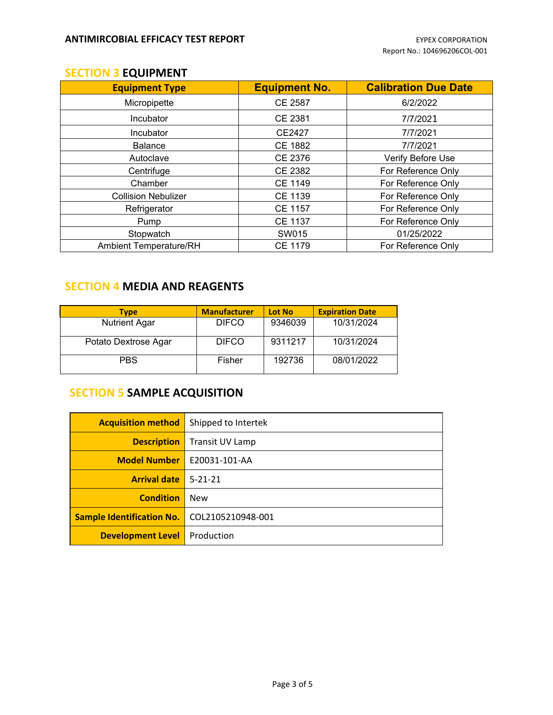## **SECTION 3 EQUIPMENT**

| <b>Equipment Type</b>         | <b>Equipment No.</b> | <b>Calibration Due Date</b> |  |
|-------------------------------|----------------------|-----------------------------|--|
| Micropipette                  | <b>CE 2587</b>       | 6/2/2022                    |  |
| Incubator                     | <b>CE 2381</b>       | 7/7/2021                    |  |
| Incubator                     | CE2427               | 7/7/2021                    |  |
| <b>Balance</b>                | <b>CE 1882</b>       | 7/7/2021                    |  |
| Autoclave                     | CE 2376              | Verify Before Use           |  |
| Centrifuge                    | CE 2382              | For Reference Only          |  |
| Chamber                       | <b>CE 1149</b>       | For Reference Only          |  |
| <b>Collision Nebulizer</b>    | <b>CE 1139</b>       | For Reference Only          |  |
| Refrigerator                  | <b>CE 1157</b>       | For Reference Only          |  |
| Pump                          | <b>CE 1137</b>       | For Reference Only          |  |
| Stopwatch                     | SW015                | 01/25/2022                  |  |
| <b>Ambient Temperature/RH</b> | <b>CE 1179</b>       | For Reference Only          |  |

# **SECTION 4 MEDIA AND REAGENTS**

| <b>Type</b>          | <b>Manufacturer</b> | <b>Lot No</b> | <b>Expiration Date</b> |
|----------------------|---------------------|---------------|------------------------|
| <b>Nutrient Agar</b> | <b>DIFCO</b>        | 9346039       | 10/31/2024             |
| Potato Dextrose Agar | <b>DIFCO</b>        | 9311217       | 10/31/2024             |
| <b>PBS</b>           | Fisher              | 192736        | 08/01/2022             |

# **SECTION 5 SAMPLE ACQUISITION**

| <b>Acquisition method</b> | Shipped to Intertek |
|---------------------------|---------------------|
| <b>Description</b>        | Transit UV Lamp     |
| <b>Model Number</b>       | E20031-101-AA       |
| <b>Arrival date</b>       | $5 - 21 - 21$       |
| <b>Condition</b>          | <b>New</b>          |
| Sample Identification No. | COL2105210948-001   |
| <b>Development Level</b>  | Production          |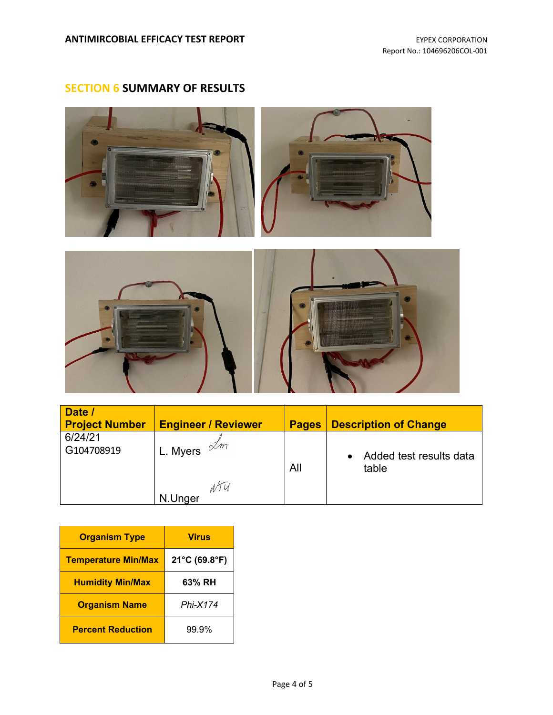# **SECTION 6 SUMMARY OF RESULTS**





| Date /<br><b>Project Number</b> | <b>Engineer / Reviewer</b>                      | <b>Pages</b> | <b>Description of Change</b>     |  |
|---------------------------------|-------------------------------------------------|--------------|----------------------------------|--|
| 6/24/21<br>G104708919           | <sup>I</sup> L. Myers $\stackrel{\sim}{\sim}$ m | All          | Added test results data<br>table |  |
|                                 | NTU<br>N.Unger                                  |              |                                  |  |

| <b>Organism Type</b>       | <b>Virus</b>  |  |
|----------------------------|---------------|--|
| <b>Temperature Min/Max</b> | 21°C (69.8°F) |  |
| <b>Humidity Min/Max</b>    | 63% RH        |  |
| <b>Organism Name</b>       | Phi-X174      |  |
| <b>Percent Reduction</b>   | 99.9%         |  |